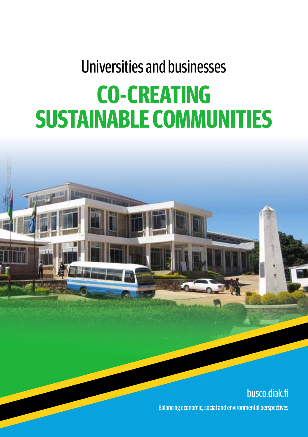# Universities and businesses **CO-CREATING SUSTAINABLE COMMUNITIES**



Balancing economic, social and environmental perspectives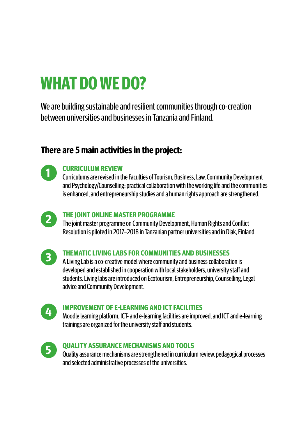## **WHAT DO WE DO?**

We are building sustainable and resilient communities through co-creation between universities and businesses in Tanzania and Finland.

### **There are 5 main activities in the project:**

**1 CURRICULUM REVIEW** Curriculums are revised in the Faculties of Tourism, Business, Law, Community Development and Psychology/Counselling: practical collaboration with the working life and the communities is enhanced, and entrepreneurship studies and a human rights approach are strengthened.



**2 THE JOINT ONLINE MASTER PROGRAMME** The joint master programme on Community Development, Human Rights and Conflict Resolution is piloted in 2017–2018 in Tanzanian partner universities and in Diak, Finland.



**3 THEMATIC LIVING LABS FOR COMMUNITIES AND BUSINESSES** A Living Lab is a co-creative model where community and business collaboration is developed and established in cooperation with local stakeholders, university staff and students. Living labs are introduced on Ecotourism, Entrepreneurship, Counselling, Legal advice and Community Development.



**44 IMPROVEMENT OF E-LEARNING AND ICT FACILITIES**<br>Moodle learning platform, ICT- and e-learning facilities are improved, and ICT and e-learning trainings are organized for the university staff and students.



**5 QUALITY ASSURANCE MECHANISMS AND TOOLS** Quality assurance mechanisms are strengthened in curriculum review, pedagogical processes and selected administrative processes of the universities.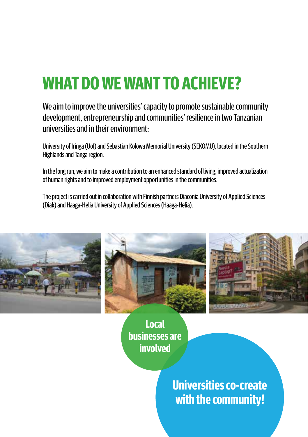## **WHAT DO WE WANT TO ACHIEVE?**

We aim to improve the universities' capacity to promote sustainable community development, entrepreneurship and communities' resilience in two Tanzanian universities and in their environment:

University of Iringa (UoI) and Sebastian Kolowa Memorial University (SEKOMU), located in the Southern Highlands and Tanga region.

In the long run, we aim to make a contribution to an enhanced standard of living, improved actualization of human rights and to improved employment opportunities in the communities.

The project is carried out in collaboration with Finnish partners Diaconia University of Applied Sciences (Diak) and Haaga-Helia University of Applied Sciences (Haaga-Helia).



**Local businesses are involved**

> **Universities co-create with the community!**